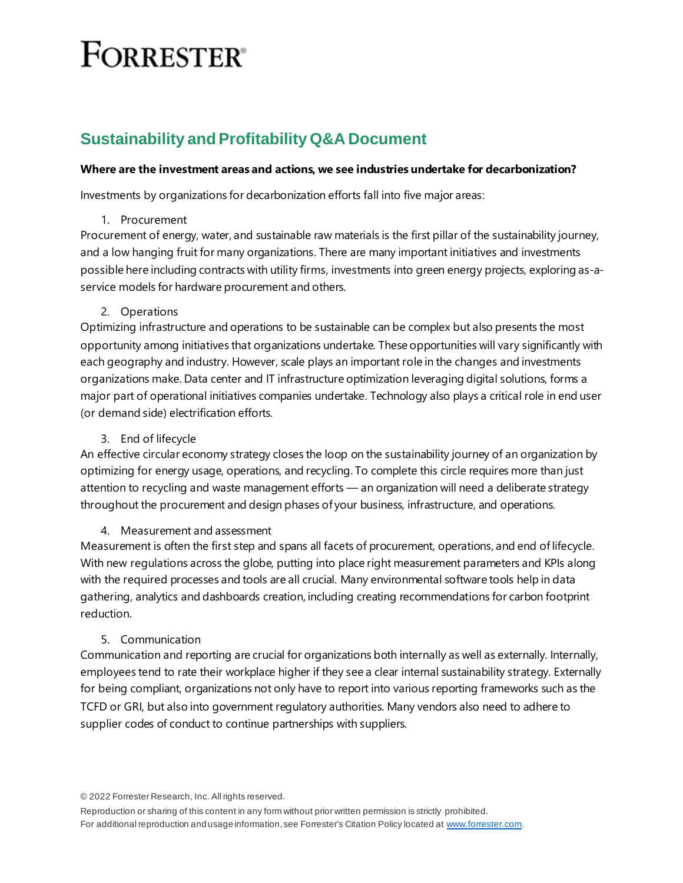# **FORRESTER**<sup>®</sup>

# **Sustainability and Profitability Q&A Document**

# **Where are the investment areas and actions, we see industries undertake for decarbonization?**

Investments by organizations for decarbonization efforts fall into five major areas:

#### 1. Procurement

Procurement of energy, water, and sustainable raw materials is the first pillar of the sustainability journey, and a low hanging fruit for many organizations. There are many important initiatives and investments possible here including contracts with utility firms, investments into green energy projects, exploring as-aservice models for hardware procurement and others.

# 2. Operations

Optimizing infrastructure and operations to be sustainable can be complex but also presents the most opportunity among initiatives that organizations undertake. These opportunities will vary significantly with each geography and industry. However, scale plays an important role in the changes and investments organizations make. Data center and IT infrastructure optimization leveraging digital solutions, forms a major part of operational initiatives companies undertake. Technology also plays a critical role in end user (or demand side) electrification efforts.

#### 3. End of lifecycle

An effective circular economy strategy closes the loop on the sustainability journey of an organization by optimizing for energy usage, operations, and recycling. To complete this circle requires more than just attention to recycling and waste management efforts — an organization will need a deliberate strategy throughout the procurement and design phases of your business, infrastructure, and operations.

# 4. Measurement and assessment

Measurement is often the first step and spans all facets of procurement, operations, and end of lifecycle. With new regulations across the globe, putting into place right measurement parameters and KPIs along with the required processes and tools are all crucial. Many environmental software tools help in data gathering, analytics and dashboards creation, including creating recommendations for carbon footprint reduction.

# 5. Communication

Communication and reporting are crucial for organizations both internally as well as externally. Internally, employees tend to rate their workplace higher if they see a clear internal sustainability strategy. Externally for being compliant, organizations not only have to report into various reporting frameworks such as the TCFD or GRI, but also into government regulatory authorities. Many vendors also need to adhere to supplier codes of conduct to continue partnerships with suppliers.

© 2022 Forrester Research, Inc. All rights reserved.

Reproduction or sharing of this content in any form without prior written permission is strictly prohibited. For additional reproduction and usage information, see Forrester's Citation Policy located a[t www.forrester.com](file://///SHRDATA16/Production/!Templates%20and%20Logos/MS%20Office%20Research%20Templates/2021%20templates/Research%202021/www.forrester.com).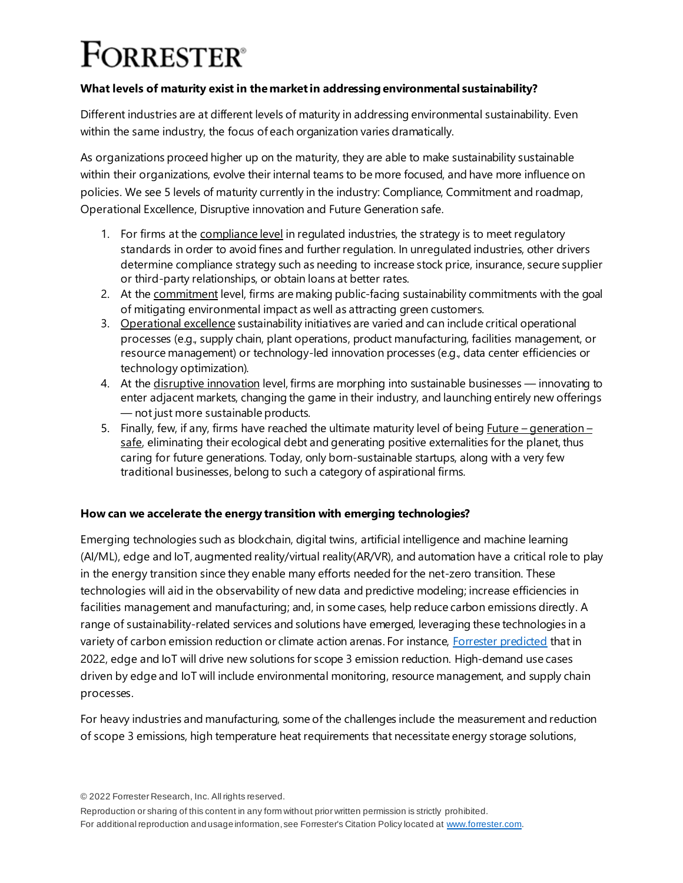# **FORRESTER**<sup>®</sup>

# **What levels of maturity exist in the market in addressing environmental sustainability?**

Different industries are at different levels of maturity in addressing environmental sustainability. Even within the same industry, the focus of each organization varies dramatically.

As organizations proceed higher up on the maturity, they are able to make sustainability sustainable within their organizations, evolve their internal teams to be more focused, and have more influence on policies. We see 5 levels of maturity currently in the industry: Compliance, Commitment and roadmap, Operational Excellence, Disruptive innovation and Future Generation safe.

- 1. For firms at the compliance level in regulated industries, the strategy is to meet regulatory standards in order to avoid fines and further regulation. In unregulated industries, other drivers determine compliance strategy such as needing to increase stock price, insurance, secure supplier or third-party relationships, or obtain loans at better rates.
- 2. At the commitment level, firms are making public-facing sustainability commitments with the goal of mitigating environmental impact as well as attracting green customers.
- 3. Operational excellence sustainability initiatives are varied and can include critical operational processes (e.g., supply chain, plant operations, product manufacturing, facilities management, or resource management) or technology-led innovation processes (e.g., data center efficiencies or technology optimization).
- 4. At the disruptive innovation level, firms are morphing into sustainable businesses innovating to enter adjacent markets, changing the game in their industry, and launching entirely new offerings — not just more sustainable products.
- 5. Finally, few, if any, firms have reached the ultimate maturity level of being  $Euture generation$ safe, eliminating their ecological debt and generating positive externalities for the planet, thus caring for future generations. Today, only born-sustainable startups, along with a very few traditional businesses, belong to such a category of aspirational firms.

# **How can we accelerate the energy transition with emerging technologies?**

Emerging technologies such as blockchain, digital twins, artificial intelligence and machine learning (AI/ML), edge and IoT, augmented reality/virtual reality(AR/VR), and automation have a critical role to play in the energy transition since they enable many efforts needed for the net-zero transition. These technologies will aid in the observability of new data and predictive modeling; increase efficiencies in facilities management and manufacturing; and, in some cases, help reduce carbon emissions directly. A range of sustainability-related services and solutions have emerged, leveraging these technologies in a variety of carbon emission reduction or climate action arenas. For instanc[e, Forrester predicted](https://www.forrester.com/blogs/predictions-2022-sustainability-digital-divide-shape-edge-iot-and-network-trends/) that in 2022, edge and IoT will drive new solutions for scope 3 emission reduction. High-demand use cases driven by edge and IoT will include environmental monitoring, resource management, and supply chain processes.

For heavy industries and manufacturing, some of the challenges include the measurement and reduction of scope 3 emissions, high temperature heat requirements that necessitate energy storage solutions,

© 2022 Forrester Research, Inc. All rights reserved.

Reproduction or sharing of this content in any form without prior written permission is strictly prohibited. For additional reproduction and usage information, see Forrester's Citation Policy located a[t www.forrester.com](file://///SHRDATA16/Production/!Templates%20and%20Logos/MS%20Office%20Research%20Templates/2021%20templates/Research%202021/www.forrester.com).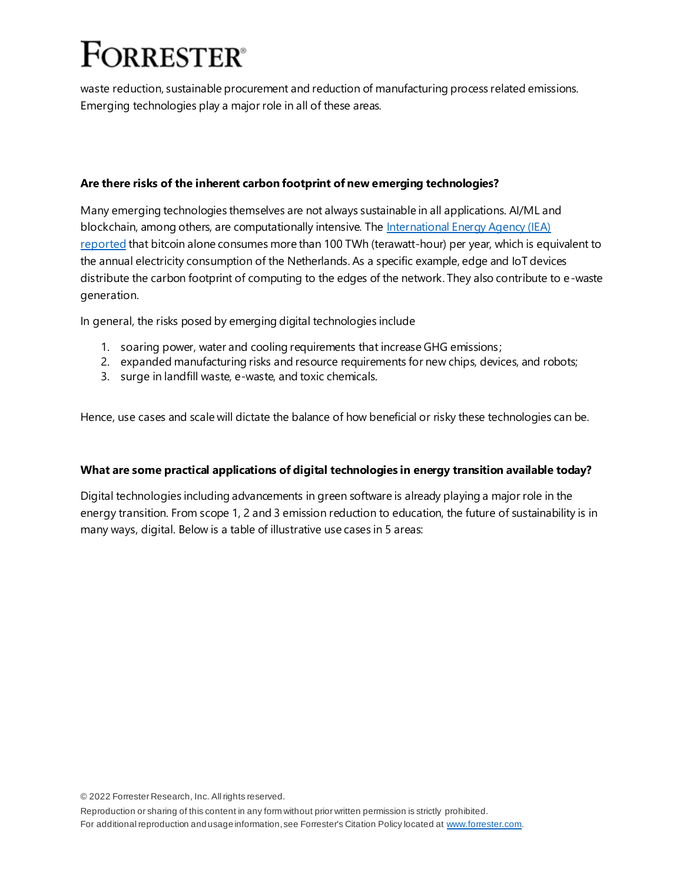# **FORRESTER**<sup>®</sup>

waste reduction, sustainable procurement and reduction of manufacturing process related emissions. Emerging technologies play a major role in all of these areas.

# **Are there risks of the inherent carbon footprint of new emerging technologies?**

Many emerging technologies themselves are not always sustainable in all applications. AI/ML and blockchain, among others, are computationally intensive. The International Energy Agency (IEA) [reported](https://www.iea.org/events/blockchain-applications-an-energy-perspective) that bitcoin alone consumes more than 100 TWh (terawatt-hour) per year, which is equivalent to the annual electricity consumption of the Netherlands. As a specific example, edge and IoT devices distribute the carbon footprint of computing to the edges of the network. They also contribute to e-waste generation.

In general, the risks posed by emerging digital technologies include

- 1. soaring power, water and cooling requirements that increase GHG emissions;
- 2. expanded manufacturing risks and resource requirements for new chips, devices, and robots;
- 3. surge in landfill waste, e-waste, and toxic chemicals.

Hence, use cases and scale will dictate the balance of how beneficial or risky these technologies can be.

# **What are some practical applications of digital technologies in energy transition available today?**

Digital technologies including advancements in green software is already playing a major role in the energy transition. From scope 1, 2 and 3 emission reduction to education, the future of sustainability is in many ways, digital. Below is a table of illustrative use cases in 5 areas:

© 2022 Forrester Research, Inc. All rights reserved.

Reproduction or sharing of this content in any form without prior written permission is strictly prohibited. For additional reproduction and usage information, see Forrester's Citation Policy located a[t www.forrester.com](file://///SHRDATA16/Production/!Templates%20and%20Logos/MS%20Office%20Research%20Templates/2021%20templates/Research%202021/www.forrester.com).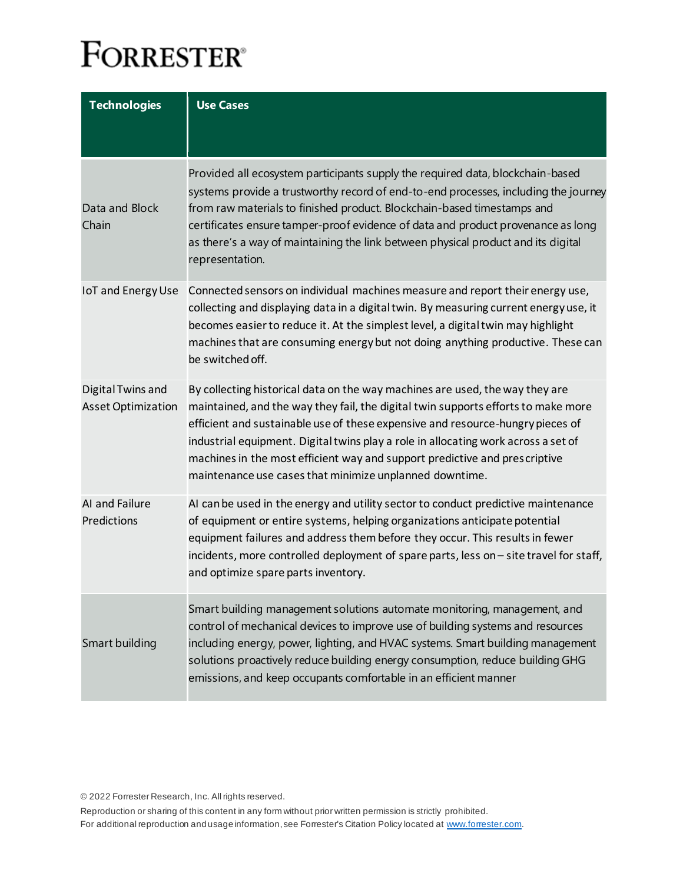# **FORRESTER®**

| <b>Technologies</b>                            | <b>Use Cases</b>                                                                                                                                                                                                                                                                                                                                                                                                                                                                   |
|------------------------------------------------|------------------------------------------------------------------------------------------------------------------------------------------------------------------------------------------------------------------------------------------------------------------------------------------------------------------------------------------------------------------------------------------------------------------------------------------------------------------------------------|
|                                                |                                                                                                                                                                                                                                                                                                                                                                                                                                                                                    |
| Data and Block<br>Chain                        | Provided all ecosystem participants supply the required data, blockchain-based<br>systems provide a trustworthy record of end-to-end processes, including the journey<br>from raw materials to finished product. Blockchain-based timestamps and<br>certificates ensure tamper-proof evidence of data and product provenance as long<br>as there's a way of maintaining the link between physical product and its digital<br>representation.                                       |
| IoT and Energy Use                             | Connected sensors on individual machines measure and report their energy use,<br>collecting and displaying data in a digital twin. By measuring current energy use, it<br>becomes easier to reduce it. At the simplest level, a digital twin may highlight<br>machines that are consuming energy but not doing anything productive. These can<br>be switched off.                                                                                                                  |
| Digital Twins and<br><b>Asset Optimization</b> | By collecting historical data on the way machines are used, the way they are<br>maintained, and the way they fail, the digital twin supports efforts to make more<br>efficient and sustainable use of these expensive and resource-hungry pieces of<br>industrial equipment. Digital twins play a role in allocating work across a set of<br>machines in the most efficient way and support predictive and prescriptive<br>maintenance use cases that minimize unplanned downtime. |
| AI and Failure<br>Predictions                  | AI can be used in the energy and utility sector to conduct predictive maintenance<br>of equipment or entire systems, helping organizations anticipate potential<br>equipment failures and address them before they occur. This results in fewer<br>incidents, more controlled deployment of spare parts, less on - site travel for staff,<br>and optimize spare parts inventory.                                                                                                   |
| Smart building                                 | Smart building management solutions automate monitoring, management, and<br>control of mechanical devices to improve use of building systems and resources<br>including energy, power, lighting, and HVAC systems. Smart building management<br>solutions proactively reduce building energy consumption, reduce building GHG<br>emissions, and keep occupants comfortable in an efficient manner                                                                                  |

© 2022 Forrester Research, Inc. All rights reserved.

Reproduction or sharing of this content in any form without prior written permission is strictly prohibited. For additional reproduction and usage information, see Forrester's Citation Policy located a[t www.forrester.com](file://///SHRDATA16/Production/!Templates%20and%20Logos/MS%20Office%20Research%20Templates/2021%20templates/Research%202021/www.forrester.com).